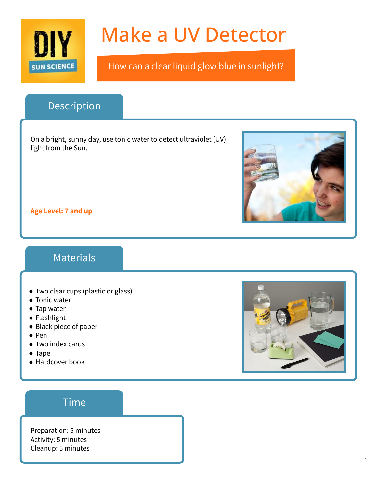

# Make a UV Detector

How can a clear liquid glow blue in sunlight?

## Description

On a bright, sunny day, use tonic water to detect ultraviolet (UV) light from the Sun.



**Age Level: 7 and up**

#### Materials

- Two clear cups (plastic or glass)
- Tonic water
- Tap water
- Flashlight
- Black piece of paper
- Pen
- Two index cards
- Tape
- Hardcover book



#### Time

Preparation: 5 minutes Activity: 5 minutes Cleanup: 5 minutes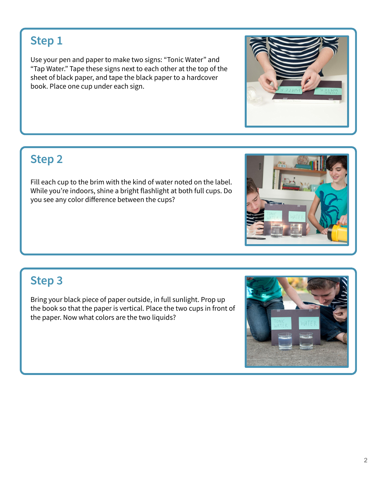## **Step 1**

Use your pen and paper to make two signs: "Tonic Water" and "Tap Water." Tape these signs next to each other at the top of the sheet of black paper, and tape the black paper to a hardcover book. Place one cup under each sign.

## **Step 2**

Fill each cup to the brim with the kind of water noted on the label. While you're indoors, shine a bright flashlight at both full cups. Do you see any color difference between the cups?

## **Step 3**

Bring your black piece of paper outside, in full sunlight. Prop up the book so that the paper is vertical. Place the two cups in front of the paper. Now what colors are the two liquids?





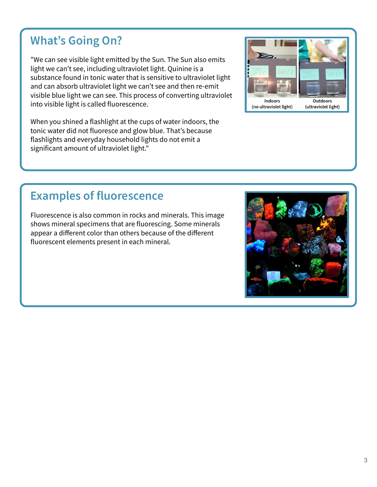# **What's Going On?**

"We can see visible light emitted by the Sun. The Sun also emits light we can't see, including ultraviolet light. Quinine is a substance found in tonic water that is sensitive to ultraviolet light and can absorb ultraviolet light we can't see and then re-emit visible blue light we can see. This process of converting ultraviolet into visible light is called fluorescence.

When you shined a flashlight at the cups of water indoors, the tonic water did not fluoresce and glow blue. That's because flashlights and everyday household lights do not emit a significant amount of ultraviolet light."

## **Examples of fluorescence**

Fluorescence is also common in rocks and minerals. This image shows mineral specimens that are fluorescing. Some minerals appear a different color than others because of the different fluorescent elements present in each mineral.